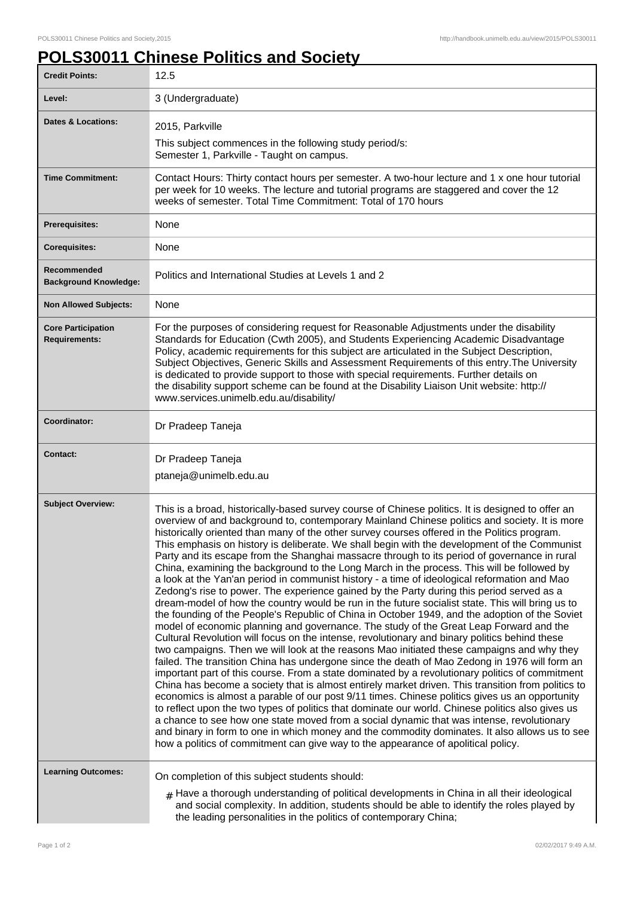## **POLS30011 Chinese Politics and Society**

| <b>Credit Points:</b>                             | 12.5                                                                                                                                                                                                                                                                                                                                                                                                                                                                                                                                                                                                                                                                                                                                                                                                                                                                                                                                                                                                                                                                                                                                                                                                                                                                                                                                                                                                                                                                                                                                                                                                                                                                                                                                                                                                                                                                                                                                                                                                                                                                                              |
|---------------------------------------------------|---------------------------------------------------------------------------------------------------------------------------------------------------------------------------------------------------------------------------------------------------------------------------------------------------------------------------------------------------------------------------------------------------------------------------------------------------------------------------------------------------------------------------------------------------------------------------------------------------------------------------------------------------------------------------------------------------------------------------------------------------------------------------------------------------------------------------------------------------------------------------------------------------------------------------------------------------------------------------------------------------------------------------------------------------------------------------------------------------------------------------------------------------------------------------------------------------------------------------------------------------------------------------------------------------------------------------------------------------------------------------------------------------------------------------------------------------------------------------------------------------------------------------------------------------------------------------------------------------------------------------------------------------------------------------------------------------------------------------------------------------------------------------------------------------------------------------------------------------------------------------------------------------------------------------------------------------------------------------------------------------------------------------------------------------------------------------------------------------|
| Level:                                            | 3 (Undergraduate)                                                                                                                                                                                                                                                                                                                                                                                                                                                                                                                                                                                                                                                                                                                                                                                                                                                                                                                                                                                                                                                                                                                                                                                                                                                                                                                                                                                                                                                                                                                                                                                                                                                                                                                                                                                                                                                                                                                                                                                                                                                                                 |
| <b>Dates &amp; Locations:</b>                     | 2015, Parkville                                                                                                                                                                                                                                                                                                                                                                                                                                                                                                                                                                                                                                                                                                                                                                                                                                                                                                                                                                                                                                                                                                                                                                                                                                                                                                                                                                                                                                                                                                                                                                                                                                                                                                                                                                                                                                                                                                                                                                                                                                                                                   |
|                                                   | This subject commences in the following study period/s:<br>Semester 1, Parkville - Taught on campus.                                                                                                                                                                                                                                                                                                                                                                                                                                                                                                                                                                                                                                                                                                                                                                                                                                                                                                                                                                                                                                                                                                                                                                                                                                                                                                                                                                                                                                                                                                                                                                                                                                                                                                                                                                                                                                                                                                                                                                                              |
| <b>Time Commitment:</b>                           | Contact Hours: Thirty contact hours per semester. A two-hour lecture and 1 x one hour tutorial<br>per week for 10 weeks. The lecture and tutorial programs are staggered and cover the 12<br>weeks of semester. Total Time Commitment: Total of 170 hours                                                                                                                                                                                                                                                                                                                                                                                                                                                                                                                                                                                                                                                                                                                                                                                                                                                                                                                                                                                                                                                                                                                                                                                                                                                                                                                                                                                                                                                                                                                                                                                                                                                                                                                                                                                                                                         |
| <b>Prerequisites:</b>                             | None                                                                                                                                                                                                                                                                                                                                                                                                                                                                                                                                                                                                                                                                                                                                                                                                                                                                                                                                                                                                                                                                                                                                                                                                                                                                                                                                                                                                                                                                                                                                                                                                                                                                                                                                                                                                                                                                                                                                                                                                                                                                                              |
| <b>Corequisites:</b>                              | None                                                                                                                                                                                                                                                                                                                                                                                                                                                                                                                                                                                                                                                                                                                                                                                                                                                                                                                                                                                                                                                                                                                                                                                                                                                                                                                                                                                                                                                                                                                                                                                                                                                                                                                                                                                                                                                                                                                                                                                                                                                                                              |
| Recommended<br><b>Background Knowledge:</b>       | Politics and International Studies at Levels 1 and 2                                                                                                                                                                                                                                                                                                                                                                                                                                                                                                                                                                                                                                                                                                                                                                                                                                                                                                                                                                                                                                                                                                                                                                                                                                                                                                                                                                                                                                                                                                                                                                                                                                                                                                                                                                                                                                                                                                                                                                                                                                              |
| <b>Non Allowed Subjects:</b>                      | None                                                                                                                                                                                                                                                                                                                                                                                                                                                                                                                                                                                                                                                                                                                                                                                                                                                                                                                                                                                                                                                                                                                                                                                                                                                                                                                                                                                                                                                                                                                                                                                                                                                                                                                                                                                                                                                                                                                                                                                                                                                                                              |
| <b>Core Participation</b><br><b>Requirements:</b> | For the purposes of considering request for Reasonable Adjustments under the disability<br>Standards for Education (Cwth 2005), and Students Experiencing Academic Disadvantage<br>Policy, academic requirements for this subject are articulated in the Subject Description,<br>Subject Objectives, Generic Skills and Assessment Requirements of this entry. The University<br>is dedicated to provide support to those with special requirements. Further details on<br>the disability support scheme can be found at the Disability Liaison Unit website: http://<br>www.services.unimelb.edu.au/disability/                                                                                                                                                                                                                                                                                                                                                                                                                                                                                                                                                                                                                                                                                                                                                                                                                                                                                                                                                                                                                                                                                                                                                                                                                                                                                                                                                                                                                                                                                  |
| Coordinator:                                      | Dr Pradeep Taneja                                                                                                                                                                                                                                                                                                                                                                                                                                                                                                                                                                                                                                                                                                                                                                                                                                                                                                                                                                                                                                                                                                                                                                                                                                                                                                                                                                                                                                                                                                                                                                                                                                                                                                                                                                                                                                                                                                                                                                                                                                                                                 |
| <b>Contact:</b>                                   | Dr Pradeep Taneja<br>ptaneja@unimelb.edu.au                                                                                                                                                                                                                                                                                                                                                                                                                                                                                                                                                                                                                                                                                                                                                                                                                                                                                                                                                                                                                                                                                                                                                                                                                                                                                                                                                                                                                                                                                                                                                                                                                                                                                                                                                                                                                                                                                                                                                                                                                                                       |
| <b>Subject Overview:</b>                          | This is a broad, historically-based survey course of Chinese politics. It is designed to offer an<br>overview of and background to, contemporary Mainland Chinese politics and society. It is more<br>historically oriented than many of the other survey courses offered in the Politics program.<br>This emphasis on history is deliberate. We shall begin with the development of the Communist<br>Party and its escape from the Shanghai massacre through to its period of governance in rural<br>China, examining the background to the Long March in the process. This will be followed by<br>a look at the Yan'an period in communist history - a time of ideological reformation and Mao<br>Zedong's rise to power. The experience gained by the Party during this period served as a<br>dream-model of how the country would be run in the future socialist state. This will bring us to<br>the founding of the People's Republic of China in October 1949, and the adoption of the Soviet<br>model of economic planning and governance. The study of the Great Leap Forward and the<br>Cultural Revolution will focus on the intense, revolutionary and binary politics behind these<br>two campaigns. Then we will look at the reasons Mao initiated these campaigns and why they<br>failed. The transition China has undergone since the death of Mao Zedong in 1976 will form an<br>important part of this course. From a state dominated by a revolutionary politics of commitment<br>China has become a society that is almost entirely market driven. This transition from politics to<br>economics is almost a parable of our post 9/11 times. Chinese politics gives us an opportunity<br>to reflect upon the two types of politics that dominate our world. Chinese politics also gives us<br>a chance to see how one state moved from a social dynamic that was intense, revolutionary<br>and binary in form to one in which money and the commodity dominates. It also allows us to see<br>how a politics of commitment can give way to the appearance of apolitical policy. |
| <b>Learning Outcomes:</b>                         | On completion of this subject students should:<br>$#$ Have a thorough understanding of political developments in China in all their ideological<br>and social complexity. In addition, students should be able to identify the roles played by<br>the leading personalities in the politics of contemporary China;                                                                                                                                                                                                                                                                                                                                                                                                                                                                                                                                                                                                                                                                                                                                                                                                                                                                                                                                                                                                                                                                                                                                                                                                                                                                                                                                                                                                                                                                                                                                                                                                                                                                                                                                                                                |